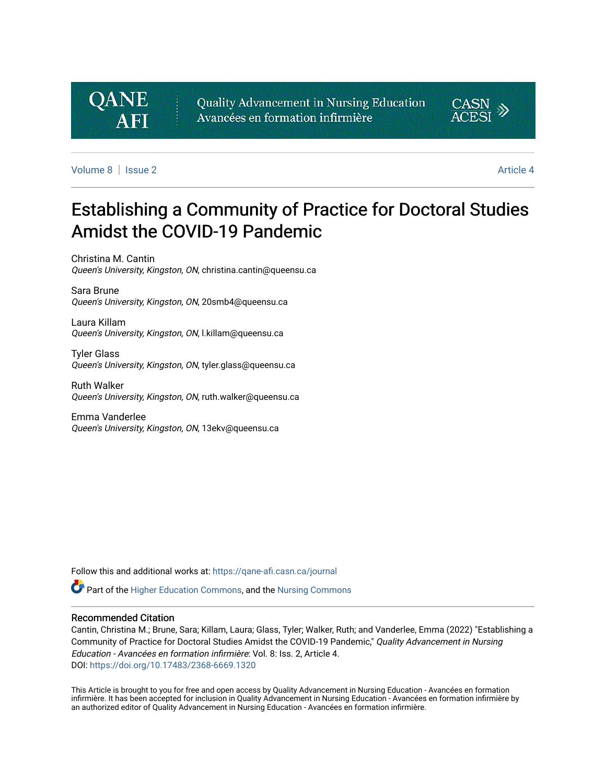# **QANE**

Quality Advancement in Nursing Education Avancées en formation infirmière



[Volume 8](https://qane-afi.casn.ca/journal/vol8) | [Issue 2](https://qane-afi.casn.ca/journal/vol8/iss2) Article 4

# Establishing a Community of Practice for Doctoral Studies Amidst the COVID-19 Pandemic

Christina M. Cantin Queen's University, Kingston, ON, christina.cantin@queensu.ca

Sara Brune Queen's University, Kingston, ON, 20smb4@queensu.ca

Laura Killam Queen's University, Kingston, ON, l.killam@queensu.ca

Tyler Glass Queen's University, Kingston, ON, tyler.glass@queensu.ca

Ruth Walker Queen's University, Kingston, ON, ruth.walker@queensu.ca

Emma Vanderlee Queen's University, Kingston, ON, 13ekv@queensu.ca

Follow this and additional works at: [https://qane-afi.casn.ca/journal](https://qane-afi.casn.ca/journal?utm_source=qane-afi.casn.ca%2Fjournal%2Fvol8%2Fiss2%2F4&utm_medium=PDF&utm_campaign=PDFCoverPages) 

Part of the [Higher Education Commons](https://network.bepress.com/hgg/discipline/1245?utm_source=qane-afi.casn.ca%2Fjournal%2Fvol8%2Fiss2%2F4&utm_medium=PDF&utm_campaign=PDFCoverPages), and the [Nursing Commons](https://network.bepress.com/hgg/discipline/718?utm_source=qane-afi.casn.ca%2Fjournal%2Fvol8%2Fiss2%2F4&utm_medium=PDF&utm_campaign=PDFCoverPages)

#### Recommended Citation

Cantin, Christina M.; Brune, Sara; Killam, Laura; Glass, Tyler; Walker, Ruth; and Vanderlee, Emma (2022) "Establishing a Community of Practice for Doctoral Studies Amidst the COVID-19 Pandemic," Quality Advancement in Nursing Education - Avancées en formation infirmière: Vol. 8: Iss. 2, Article 4. DOI: <https://doi.org/10.17483/2368-6669.1320>

This Article is brought to you for free and open access by Quality Advancement in Nursing Education - Avancées en formation infirmière. It has been accepted for inclusion in Quality Advancement in Nursing Education - Avancées en formation infirmière by an authorized editor of Quality Advancement in Nursing Education - Avancées en formation infirmière.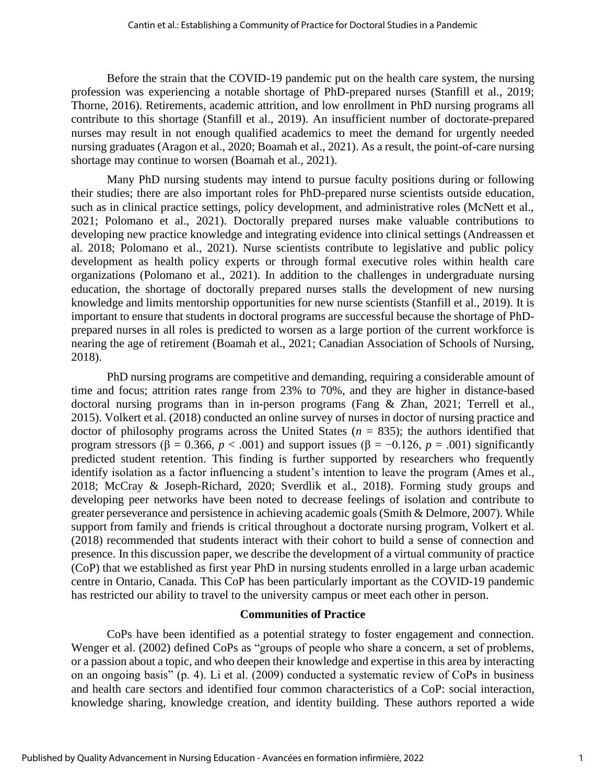Before the strain that the COVID-19 pandemic put on the health care system, the nursing profession was experiencing a notable shortage of PhD-prepared nurses (Stanfill et al., 2019; Thorne, 2016). Retirements, academic attrition, and low enrollment in PhD nursing programs all contribute to this shortage (Stanfill et al., 2019). An insufficient number of doctorate-prepared nurses may result in not enough qualified academics to meet the demand for urgently needed nursing graduates (Aragon et al., 2020; Boamah et al., 2021). As a result, the point-of-care nursing shortage may continue to worsen (Boamah et al., 2021).

Many PhD nursing students may intend to pursue faculty positions during or following their studies; there are also important roles for PhD-prepared nurse scientists outside education, such as in clinical practice settings, policy development, and administrative roles (McNett et al., 2021; Polomano et al., 2021). Doctorally prepared nurses make valuable contributions to developing new practice knowledge and integrating evidence into clinical settings (Andreassen et al. 2018; Polomano et al., 2021). Nurse scientists contribute to legislative and public policy development as health policy experts or through formal executive roles within health care organizations (Polomano et al., 2021). In addition to the challenges in undergraduate nursing education, the shortage of doctorally prepared nurses stalls the development of new nursing knowledge and limits mentorship opportunities for new nurse scientists (Stanfill et al., 2019). It is important to ensure that students in doctoral programs are successful because the shortage of PhDprepared nurses in all roles is predicted to worsen as a large portion of the current workforce is nearing the age of retirement (Boamah et al., 2021; Canadian Association of Schools of Nursing, 2018).

PhD nursing programs are competitive and demanding, requiring a considerable amount of time and focus; attrition rates range from 23% to 70%, and they are higher in distance-based doctoral nursing programs than in in-person programs (Fang & Zhan, 2021; Terrell et al., 2015). Volkert et al. (2018) conducted an online survey of nurses in doctor of nursing practice and doctor of philosophy programs across the United States  $(n = 835)$ ; the authors identified that program stressors (β = 0.366, *p* < .001) and support issues (β = -0.126, *p* = .001) significantly predicted student retention. This finding is further supported by researchers who frequently identify isolation as a factor influencing a student's intention to leave the program (Ames et al., 2018; McCray & Joseph-Richard, 2020; Sverdlik et al., 2018). Forming study groups and developing peer networks have been noted to decrease feelings of isolation and contribute to greater perseverance and persistence in achieving academic goals (Smith & Delmore, 2007). While support from family and friends is critical throughout a doctorate nursing program, Volkert et al. (2018) recommended that students interact with their cohort to build a sense of connection and presence. In this discussion paper, we describe the development of a virtual community of practice (CoP) that we established as first year PhD in nursing students enrolled in a large urban academic centre in Ontario, Canada. This CoP has been particularly important as the COVID-19 pandemic has restricted our ability to travel to the university campus or meet each other in person.

#### **Communities of Practice**

CoPs have been identified as a potential strategy to foster engagement and connection. Wenger et al. (2002) defined CoPs as "groups of people who share a concern, a set of problems, or a passion about a topic, and who deepen their knowledge and expertise in this area by interacting on an ongoing basis" (p. 4). Li et al. (2009) conducted a systematic review of CoPs in business and health care sectors and identified four common characteristics of a CoP: social interaction, knowledge sharing, knowledge creation, and identity building. These authors reported a wide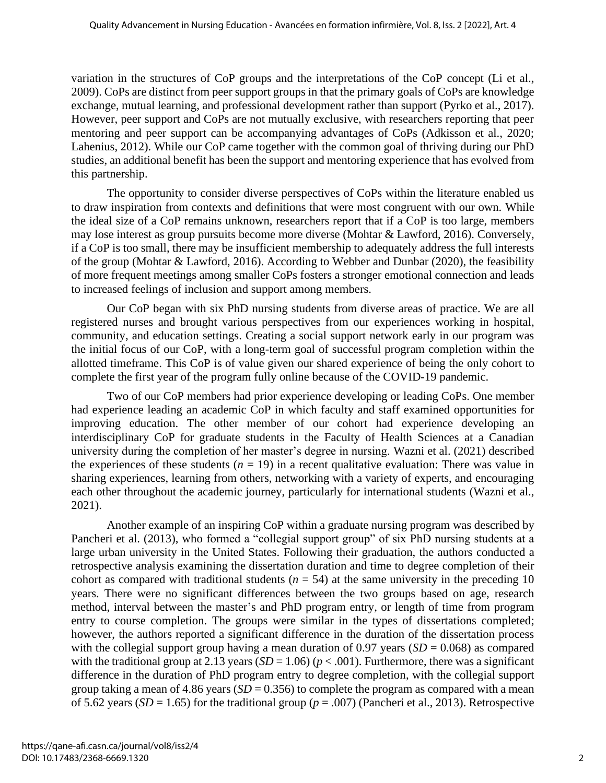variation in the structures of CoP groups and the interpretations of the CoP concept (Li et al., 2009). CoPs are distinct from peer support groups in that the primary goals of CoPs are knowledge exchange, mutual learning, and professional development rather than support (Pyrko et al., 2017). However, peer support and CoPs are not mutually exclusive, with researchers reporting that peer mentoring and peer support can be accompanying advantages of CoPs (Adkisson et al., 2020; Lahenius, 2012). While our CoP came together with the common goal of thriving during our PhD studies, an additional benefit has been the support and mentoring experience that has evolved from this partnership.

The opportunity to consider diverse perspectives of CoPs within the literature enabled us to draw inspiration from contexts and definitions that were most congruent with our own. While the ideal size of a CoP remains unknown, researchers report that if a CoP is too large, members may lose interest as group pursuits become more diverse (Mohtar & Lawford, 2016). Conversely, if a CoP is too small, there may be insufficient membership to adequately address the full interests of the group (Mohtar & Lawford, 2016). According to Webber and Dunbar (2020), the feasibility of more frequent meetings among smaller CoPs fosters a stronger emotional connection and leads to increased feelings of inclusion and support among members.

Our CoP began with six PhD nursing students from diverse areas of practice. We are all registered nurses and brought various perspectives from our experiences working in hospital, community, and education settings. Creating a social support network early in our program was the initial focus of our CoP, with a long-term goal of successful program completion within the allotted timeframe. This CoP is of value given our shared experience of being the only cohort to complete the first year of the program fully online because of the COVID-19 pandemic.

Two of our CoP members had prior experience developing or leading CoPs. One member had experience leading an academic CoP in which faculty and staff examined opportunities for improving education. The other member of our cohort had experience developing an interdisciplinary CoP for graduate students in the Faculty of Health Sciences at a Canadian university during the completion of her master's degree in nursing. Wazni et al. (2021) described the experiences of these students  $(n = 19)$  in a recent qualitative evaluation: There was value in sharing experiences, learning from others, networking with a variety of experts, and encouraging each other throughout the academic journey, particularly for international students (Wazni et al., 2021).

Another example of an inspiring CoP within a graduate nursing program was described by Pancheri et al. (2013), who formed a "collegial support group" of six PhD nursing students at a large urban university in the United States. Following their graduation, the authors conducted a retrospective analysis examining the dissertation duration and time to degree completion of their cohort as compared with traditional students  $(n = 54)$  at the same university in the preceding 10 years. There were no significant differences between the two groups based on age, research method, interval between the master's and PhD program entry, or length of time from program entry to course completion. The groups were similar in the types of dissertations completed; however, the authors reported a significant difference in the duration of the dissertation process with the collegial support group having a mean duration of  $0.97$  years ( $SD = 0.068$ ) as compared with the traditional group at 2.13 years  $(SD = 1.06)$  ( $p < .001$ ). Furthermore, there was a significant difference in the duration of PhD program entry to degree completion, with the collegial support group taking a mean of 4.86 years  $(SD = 0.356)$  to complete the program as compared with a mean of 5.62 years ( $SD = 1.65$ ) for the traditional group ( $p = .007$ ) (Pancheri et al., 2013). Retrospective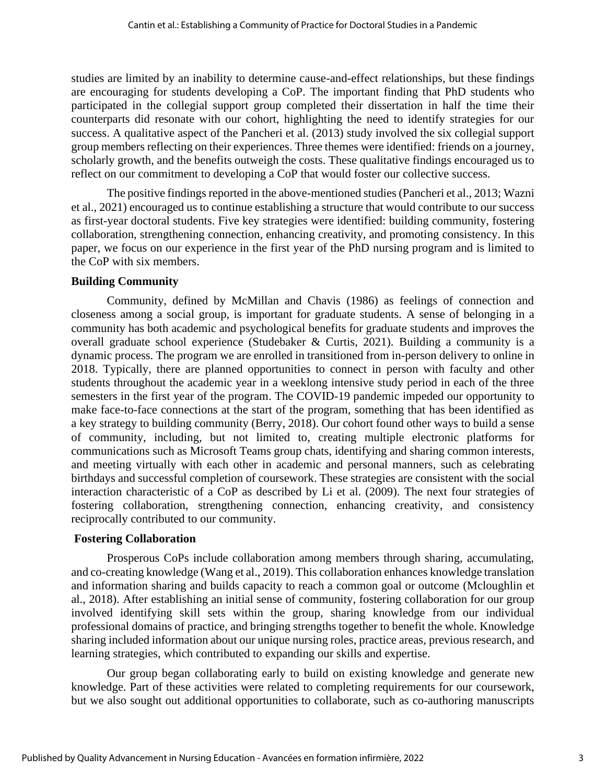studies are limited by an inability to determine cause-and-effect relationships, but these findings are encouraging for students developing a CoP. The important finding that PhD students who participated in the collegial support group completed their dissertation in half the time their counterparts did resonate with our cohort, highlighting the need to identify strategies for our success. A qualitative aspect of the Pancheri et al. (2013) study involved the six collegial support group members reflecting on their experiences. Three themes were identified: friends on a journey, scholarly growth, and the benefits outweigh the costs. These qualitative findings encouraged us to reflect on our commitment to developing a CoP that would foster our collective success.

The positive findings reported in the above-mentioned studies (Pancheri et al., 2013; Wazni et al., 2021) encouraged us to continue establishing a structure that would contribute to our success as first-year doctoral students. Five key strategies were identified: building community, fostering collaboration, strengthening connection, enhancing creativity, and promoting consistency. In this paper, we focus on our experience in the first year of the PhD nursing program and is limited to the CoP with six members.

## **Building Community**

Community, defined by McMillan and Chavis (1986) as feelings of connection and closeness among a social group, is important for graduate students. A sense of belonging in a community has both academic and psychological benefits for graduate students and improves the overall graduate school experience (Studebaker & Curtis, 2021). Building a community is a dynamic process. The program we are enrolled in transitioned from in-person delivery to online in 2018. Typically, there are planned opportunities to connect in person with faculty and other students throughout the academic year in a weeklong intensive study period in each of the three semesters in the first year of the program. The COVID-19 pandemic impeded our opportunity to make face-to-face connections at the start of the program, something that has been identified as a key strategy to building community (Berry, 2018). Our cohort found other ways to build a sense of community, including, but not limited to, creating multiple electronic platforms for communications such as Microsoft Teams group chats, identifying and sharing common interests, and meeting virtually with each other in academic and personal manners, such as celebrating birthdays and successful completion of coursework. These strategies are consistent with the social interaction characteristic of a CoP as described by Li et al. (2009). The next four strategies of fostering collaboration, strengthening connection, enhancing creativity, and consistency reciprocally contributed to our community.

## **Fostering Collaboration**

Prosperous CoPs include collaboration among members through sharing, accumulating, and co-creating knowledge (Wang et al., 2019). This collaboration enhances knowledge translation and information sharing and builds capacity to reach a common goal or outcome (Mcloughlin et al., 2018). After establishing an initial sense of community, fostering collaboration for our group involved identifying skill sets within the group, sharing knowledge from our individual professional domains of practice, and bringing strengths together to benefit the whole. Knowledge sharing included information about our unique nursing roles, practice areas, previous research, and learning strategies, which contributed to expanding our skills and expertise.

Our group began collaborating early to build on existing knowledge and generate new knowledge. Part of these activities were related to completing requirements for our coursework, but we also sought out additional opportunities to collaborate, such as co-authoring manuscripts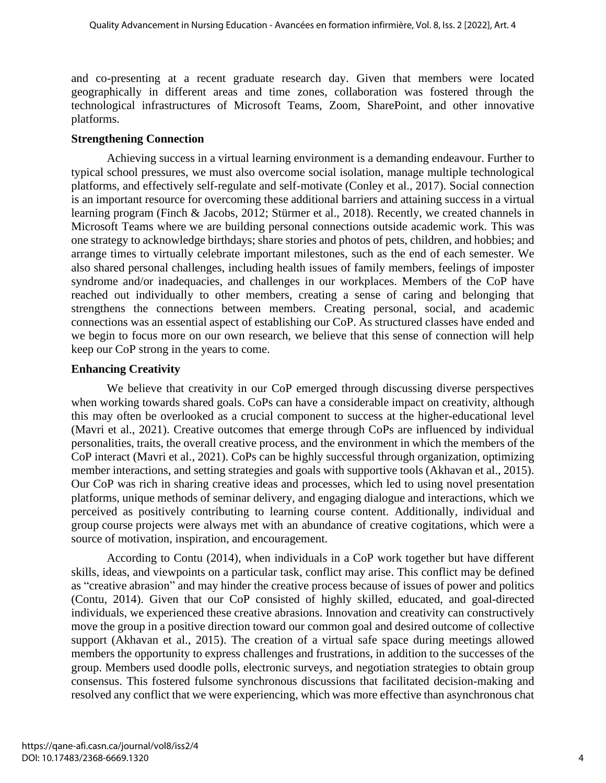and co-presenting at a recent graduate research day. Given that members were located geographically in different areas and time zones, collaboration was fostered through the technological infrastructures of Microsoft Teams, Zoom, SharePoint, and other innovative platforms.

# **Strengthening Connection**

Achieving success in a virtual learning environment is a demanding endeavour. Further to typical school pressures, we must also overcome social isolation, manage multiple technological platforms, and effectively self-regulate and self-motivate (Conley et al., 2017). Social connection is an important resource for overcoming these additional barriers and attaining success in a virtual learning program (Finch & Jacobs, 2012; Stürmer et al., 2018). Recently, we created channels in Microsoft Teams where we are building personal connections outside academic work. This was one strategy to acknowledge birthdays; share stories and photos of pets, children, and hobbies; and arrange times to virtually celebrate important milestones, such as the end of each semester. We also shared personal challenges, including health issues of family members, feelings of imposter syndrome and/or inadequacies, and challenges in our workplaces. Members of the CoP have reached out individually to other members, creating a sense of caring and belonging that strengthens the connections between members. Creating personal, social, and academic connections was an essential aspect of establishing our CoP. As structured classes have ended and we begin to focus more on our own research, we believe that this sense of connection will help keep our CoP strong in the years to come.

# **Enhancing Creativity**

We believe that creativity in our CoP emerged through discussing diverse perspectives when working towards shared goals. CoPs can have a considerable impact on creativity, although this may often be overlooked as a crucial component to success at the higher-educational level (Mavri et al., 2021). Creative outcomes that emerge through CoPs are influenced by individual personalities, traits, the overall creative process, and the environment in which the members of the CoP interact (Mavri et al., 2021). CoPs can be highly successful through organization, optimizing member interactions, and setting strategies and goals with supportive tools (Akhavan et al., 2015). Our CoP was rich in sharing creative ideas and processes, which led to using novel presentation platforms, unique methods of seminar delivery, and engaging dialogue and interactions, which we perceived as positively contributing to learning course content. Additionally, individual and group course projects were always met with an abundance of creative cogitations, which were a source of motivation, inspiration, and encouragement.

According to Contu (2014), when individuals in a CoP work together but have different skills, ideas, and viewpoints on a particular task, conflict may arise. This conflict may be defined as "creative abrasion" and may hinder the creative process because of issues of power and politics (Contu, 2014). Given that our CoP consisted of highly skilled, educated, and goal-directed individuals, we experienced these creative abrasions. Innovation and creativity can constructively move the group in a positive direction toward our common goal and desired outcome of collective support (Akhavan et al., 2015). The creation of a virtual safe space during meetings allowed members the opportunity to express challenges and frustrations, in addition to the successes of the group. Members used doodle polls, electronic surveys, and negotiation strategies to obtain group consensus. This fostered fulsome synchronous discussions that facilitated decision-making and resolved any conflict that we were experiencing, which was more effective than asynchronous chat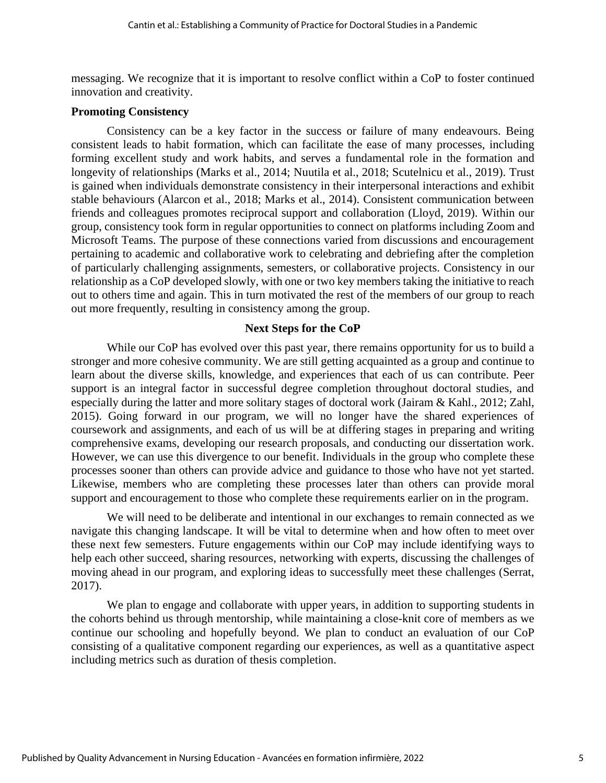messaging. We recognize that it is important to resolve conflict within a CoP to foster continued innovation and creativity.

#### **Promoting Consistency**

Consistency can be a key factor in the success or failure of many endeavours. Being consistent leads to habit formation, which can facilitate the ease of many processes, including forming excellent study and work habits, and serves a fundamental role in the formation and longevity of relationships (Marks et al., 2014; Nuutila et al., 2018; Scutelnicu et al., 2019). Trust is gained when individuals demonstrate consistency in their interpersonal interactions and exhibit stable behaviours (Alarcon et al., 2018; Marks et al., 2014). Consistent communication between friends and colleagues promotes reciprocal support and collaboration (Lloyd, 2019). Within our group, consistency took form in regular opportunities to connect on platforms including Zoom and Microsoft Teams. The purpose of these connections varied from discussions and encouragement pertaining to academic and collaborative work to celebrating and debriefing after the completion of particularly challenging assignments, semesters, or collaborative projects. Consistency in our relationship as a CoP developed slowly, with one or two key members taking the initiative to reach out to others time and again. This in turn motivated the rest of the members of our group to reach out more frequently, resulting in consistency among the group.

## **Next Steps for the CoP**

While our CoP has evolved over this past year, there remains opportunity for us to build a stronger and more cohesive community. We are still getting acquainted as a group and continue to learn about the diverse skills, knowledge, and experiences that each of us can contribute. Peer support is an integral factor in successful degree completion throughout doctoral studies, and especially during the latter and more solitary stages of doctoral work (Jairam & Kahl., 2012; Zahl, 2015). Going forward in our program, we will no longer have the shared experiences of coursework and assignments, and each of us will be at differing stages in preparing and writing comprehensive exams, developing our research proposals, and conducting our dissertation work. However, we can use this divergence to our benefit. Individuals in the group who complete these processes sooner than others can provide advice and guidance to those who have not yet started. Likewise, members who are completing these processes later than others can provide moral support and encouragement to those who complete these requirements earlier on in the program.

We will need to be deliberate and intentional in our exchanges to remain connected as we navigate this changing landscape. It will be vital to determine when and how often to meet over these next few semesters. Future engagements within our CoP may include identifying ways to help each other succeed, sharing resources, networking with experts, discussing the challenges of moving ahead in our program, and exploring ideas to successfully meet these challenges (Serrat, 2017).

We plan to engage and collaborate with upper years, in addition to supporting students in the cohorts behind us through mentorship, while maintaining a close-knit core of members as we continue our schooling and hopefully beyond. We plan to conduct an evaluation of our CoP consisting of a qualitative component regarding our experiences, as well as a quantitative aspect including metrics such as duration of thesis completion.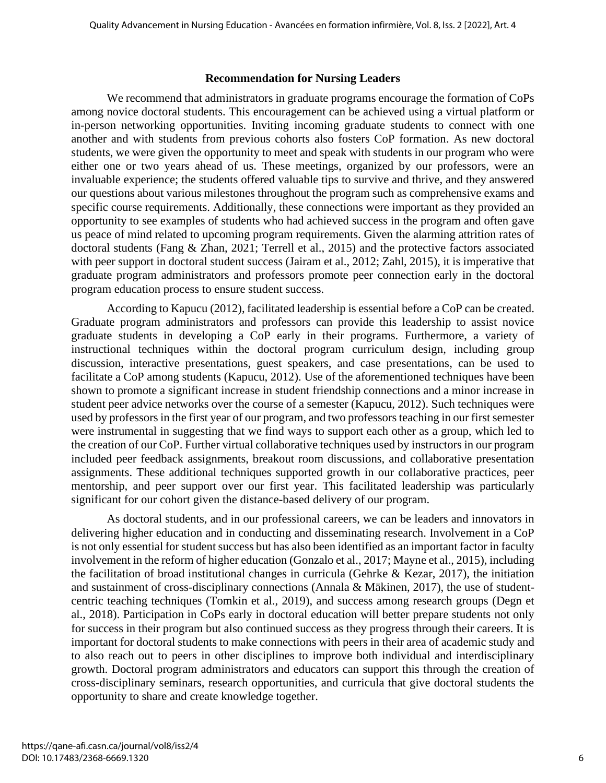#### **Recommendation for Nursing Leaders**

We recommend that administrators in graduate programs encourage the formation of CoPs among novice doctoral students. This encouragement can be achieved using a virtual platform or in-person networking opportunities. Inviting incoming graduate students to connect with one another and with students from previous cohorts also fosters CoP formation. As new doctoral students, we were given the opportunity to meet and speak with students in our program who were either one or two years ahead of us. These meetings, organized by our professors, were an invaluable experience; the students offered valuable tips to survive and thrive, and they answered our questions about various milestones throughout the program such as comprehensive exams and specific course requirements. Additionally, these connections were important as they provided an opportunity to see examples of students who had achieved success in the program and often gave us peace of mind related to upcoming program requirements. Given the alarming attrition rates of doctoral students (Fang & Zhan, 2021; Terrell et al., 2015) and the protective factors associated with peer support in doctoral student success (Jairam et al., 2012; Zahl, 2015), it is imperative that graduate program administrators and professors promote peer connection early in the doctoral program education process to ensure student success.

According to Kapucu (2012), facilitated leadership is essential before a CoP can be created. Graduate program administrators and professors can provide this leadership to assist novice graduate students in developing a CoP early in their programs. Furthermore, a variety of instructional techniques within the doctoral program curriculum design, including group discussion, interactive presentations, guest speakers, and case presentations, can be used to facilitate a CoP among students (Kapucu, 2012). Use of the aforementioned techniques have been shown to promote a significant increase in student friendship connections and a minor increase in student peer advice networks over the course of a semester (Kapucu, 2012). Such techniques were used by professors in the first year of our program, and two professors teaching in our first semester were instrumental in suggesting that we find ways to support each other as a group, which led to the creation of our CoP. Further virtual collaborative techniques used by instructors in our program included peer feedback assignments, breakout room discussions, and collaborative presentation assignments. These additional techniques supported growth in our collaborative practices, peer mentorship, and peer support over our first year. This facilitated leadership was particularly significant for our cohort given the distance-based delivery of our program.

As doctoral students, and in our professional careers, we can be leaders and innovators in delivering higher education and in conducting and disseminating research. Involvement in a CoP is not only essential for student success but has also been identified as an important factor in faculty involvement in the reform of higher education (Gonzalo et al., 2017; Mayne et al., 2015), including the facilitation of broad institutional changes in curricula (Gehrke & Kezar, 2017), the initiation and sustainment of cross-disciplinary connections (Annala & Mäkinen, 2017), the use of studentcentric teaching techniques (Tomkin et al., 2019), and success among research groups (Degn et al., 2018). Participation in CoPs early in doctoral education will better prepare students not only for success in their program but also continued success as they progress through their careers. It is important for doctoral students to make connections with peers in their area of academic study and to also reach out to peers in other disciplines to improve both individual and interdisciplinary growth. Doctoral program administrators and educators can support this through the creation of cross-disciplinary seminars, research opportunities, and curricula that give doctoral students the opportunity to share and create knowledge together.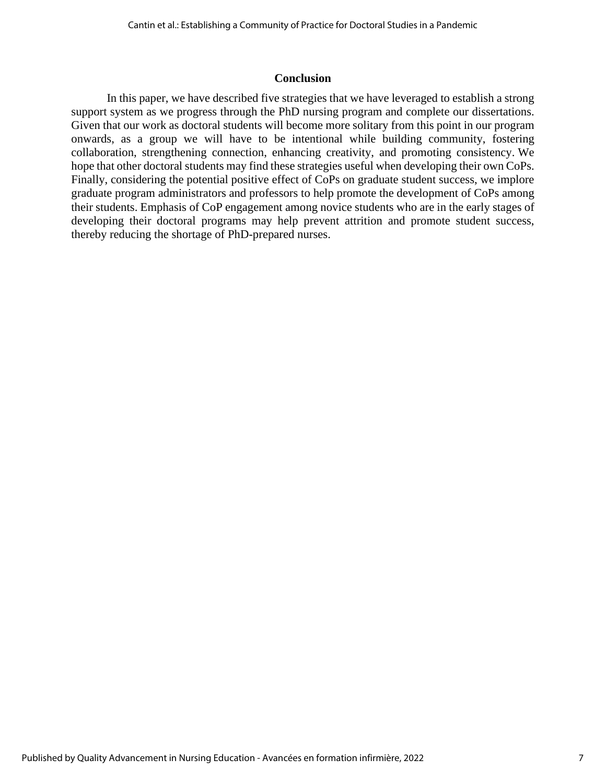#### **Conclusion**

In this paper, we have described five strategies that we have leveraged to establish a strong support system as we progress through the PhD nursing program and complete our dissertations. Given that our work as doctoral students will become more solitary from this point in our program onwards, as a group we will have to be intentional while building community, fostering collaboration, strengthening connection, enhancing creativity, and promoting consistency. We hope that other doctoral students may find these strategies useful when developing their own CoPs. Finally, considering the potential positive effect of CoPs on graduate student success, we implore graduate program administrators and professors to help promote the development of CoPs among their students. Emphasis of CoP engagement among novice students who are in the early stages of developing their doctoral programs may help prevent attrition and promote student success, thereby reducing the shortage of PhD-prepared nurses.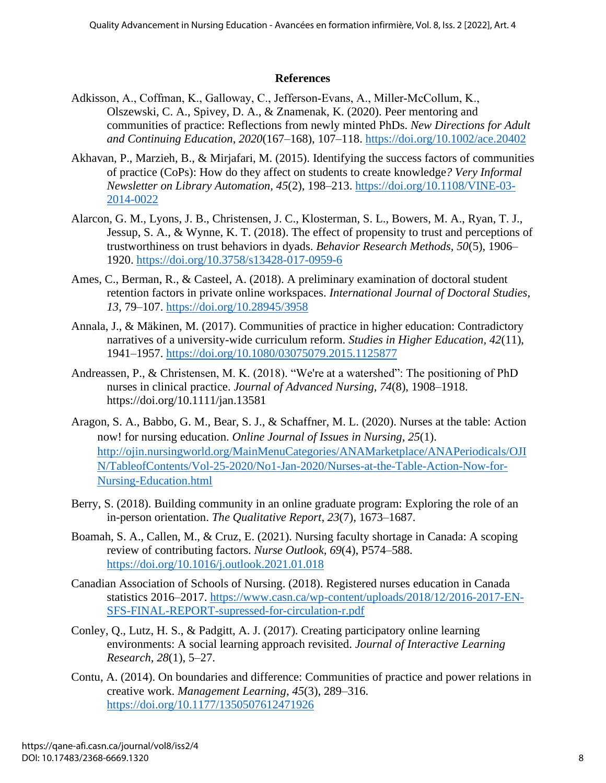# **References**

- Adkisson, A., Coffman, K., Galloway, C., Jefferson‐Evans, A., Miller‐McCollum, K., Olszewski, C. A., Spivey, D. A., & Znamenak, K. (2020). Peer mentoring and communities of practice: Reflections from newly minted PhDs. *New Directions for Adult and Continuing Education*, *2020*(167–168), 107–118. https://doi.org/10.1002/ace.20402
- Akhavan, P., Marzieh, B., & Mirjafari, M. (2015). Identifying the success factors of communities of practice (CoPs): How do they affect on students to create knowledge*? Very Informal Newsletter on Library Automation, 45*(2), 198–213. https://doi.org/10.1108/VINE-03- 2014-0022
- Alarcon, G. M., Lyons, J. B., Christensen, J. C., Klosterman, S. L., Bowers, M. A., Ryan, T. J., Jessup, S. A., & Wynne, K. T. (2018). The effect of propensity to trust and perceptions of trustworthiness on trust behaviors in dyads. *Behavior Research Methods, 50*(5), 1906– 1920. https://doi.org/10.3758/s13428-017-0959-6
- Ames, C., Berman, R., & Casteel, A. (2018). A preliminary examination of doctoral student retention factors in private online workspaces. *International Journal of Doctoral Studies*, *13*, 79–107. https://doi.org/10.28945/3958
- Annala, J., & Mäkinen, M. (2017). Communities of practice in higher education: Contradictory narratives of a university-wide curriculum reform. *Studies in Higher Education, 42*(11), 1941–1957. https://doi.org/10.1080/03075079.2015.1125877
- Andreassen, P., & Christensen, M. K. (2018). "We're at a watershed": The positioning of PhD nurses in clinical practice. *Journal of Advanced Nursing, 74*(8), 1908–1918. https://doi.org/10.1111/jan.13581
- Aragon, S. A., Babbo, G. M., Bear, S. J., & Schaffner, M. L. (2020). Nurses at the table: Action now! for nursing education. *Online Journal of Issues in Nursing, 25*(1). [http://ojin.nursingworld.org/MainMenuCategories/ANAMarketplace/ANAPeriodicals/OJI](http://ojin.nursingworld.org/MainMenuCategories/ANAMarketplace/ANAPeriodicals/OJIN/TableofContents/Vol-25-2020/No1-Jan-2020/Nurses-at-the-Table-Action-Now-for-Nursing-Education.html) [N/TableofContents/Vol-25-2020/No1-Jan-2020/Nurses-at-the-Table-Action-Now-for-](http://ojin.nursingworld.org/MainMenuCategories/ANAMarketplace/ANAPeriodicals/OJIN/TableofContents/Vol-25-2020/No1-Jan-2020/Nurses-at-the-Table-Action-Now-for-Nursing-Education.html)[Nursing-Education.html](http://ojin.nursingworld.org/MainMenuCategories/ANAMarketplace/ANAPeriodicals/OJIN/TableofContents/Vol-25-2020/No1-Jan-2020/Nurses-at-the-Table-Action-Now-for-Nursing-Education.html)
- Berry, S. (2018). Building community in an online graduate program: Exploring the role of an in-person orientation. *The Qualitative Report*, *23*(7), 1673–1687.
- Boamah, S. A., Callen, M., & Cruz, E. (2021). Nursing faculty shortage in Canada: A scoping review of contributing factors. *Nurse Outlook, 69*(4), P574–588. <https://doi.org/10.1016/j.outlook.2021.01.018>
- Canadian Association of Schools of Nursing. (2018). Registered nurses education in Canada statistics 2016–2017. [https://www.casn.ca/wp-content/uploads/2018/12/2016-2017-EN-](https://www.casn.ca/wp-content/uploads/2018/12/2016-2017-EN-SFS-FINAL-REPORT-supressed-for-circulation-r.pdf)[SFS-FINAL-REPORT-supressed-for-circulation-r.pdf](https://www.casn.ca/wp-content/uploads/2018/12/2016-2017-EN-SFS-FINAL-REPORT-supressed-for-circulation-r.pdf)
- Conley, Q., Lutz, H. S., & Padgitt, A. J. (2017). Creating participatory online learning environments: A social learning approach revisited. *Journal of Interactive Learning Research, 28*(1), 5–27.
- Contu, A. (2014). On boundaries and difference: Communities of practice and power relations in creative work. *Management Learning*, *45*(3), 289–316. https://doi.org/10.1177/1350507612471926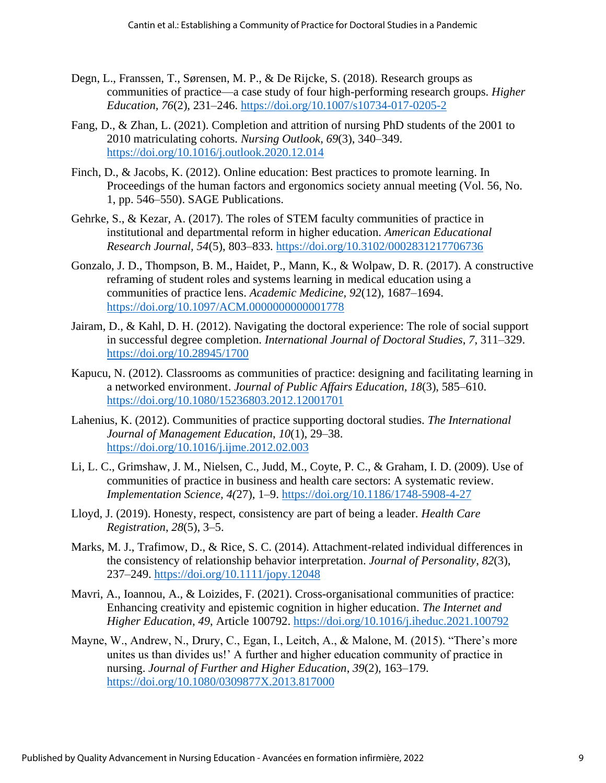- Degn, L., Franssen, T., Sørensen, M. P., & De Rijcke, S. (2018). Research groups as communities of practice—a case study of four high-performing research groups. *Higher Education, 76*(2), 231–246. https://doi.org/10.1007/s10734-017-0205-2
- Fang, D., & Zhan, L. (2021). Completion and attrition of nursing PhD students of the 2001 to 2010 matriculating cohorts. *Nursing Outlook*, *69*(3), 340–349. https://doi.org/10.1016/j.outlook.2020.12.014
- Finch, D., & Jacobs, K. (2012). Online education: Best practices to promote learning. In Proceedings of the human factors and ergonomics society annual meeting (Vol. 56, No. 1, pp. 546–550). SAGE Publications.
- Gehrke, S., & Kezar, A. (2017). The roles of STEM faculty communities of practice in institutional and departmental reform in higher education. *American Educational Research Journal, 54*(5), 803–833. https://doi.org/10.3102/0002831217706736
- Gonzalo, J. D., Thompson, B. M., Haidet, P., Mann, K., & Wolpaw, D. R. (2017). A constructive reframing of student roles and systems learning in medical education using a communities of practice lens. *Academic Medicine, 92*(12), 1687–1694. https://doi.org/10.1097/ACM.0000000000001778
- Jairam, D., & Kahl, D. H. (2012). Navigating the doctoral experience: The role of social support in successful degree completion. *International Journal of Doctoral Studies*, *7*, 311–329. https://doi.org/10.28945/1700
- Kapucu, N. (2012). Classrooms as communities of practice: designing and facilitating learning in a networked environment. *Journal of Public Affairs Education, 18*(3), 585–610. https://doi.org/10.1080/15236803.2012.12001701
- Lahenius, K. (2012). Communities of practice supporting doctoral studies. *The International Journal of Management Education*, *10*(1), 29–38. https://doi.org/10.1016/j.ijme.2012.02.003
- Li, L. C., Grimshaw, J. M., Nielsen, C., Judd, M., Coyte, P. C., & Graham, I. D. (2009). Use of communities of practice in business and health care sectors: A systematic review. *Implementation Science, 4(*27), 1–9.<https://doi.org/10.1186/1748-5908-4-27>
- Lloyd, J. (2019). Honesty, respect, consistency are part of being a leader. *Health Care Registration*, *28*(5), 3–5.
- Marks, M. J., Trafimow, D., & Rice, S. C. (2014). Attachment-related individual differences in the consistency of relationship behavior interpretation. *Journal of Personality*, *82*(3), 237–249. https://doi.org/10.1111/jopy.12048
- Mavri, A., Ioannou, A., & Loizides, F. (2021). Cross-organisational communities of practice: Enhancing creativity and epistemic cognition in higher education. *The Internet and Higher Education*, *49*, Article 100792. https://doi.org/10.1016/j.iheduc.2021.100792
- Mayne, W., Andrew, N., Drury, C., Egan, I., Leitch, A., & Malone, M. (2015). "There's more unites us than divides us!' A further and higher education community of practice in nursing. *Journal of Further and Higher Education*, *39*(2), 163–179. https://doi.org/10.1080/0309877X.2013.817000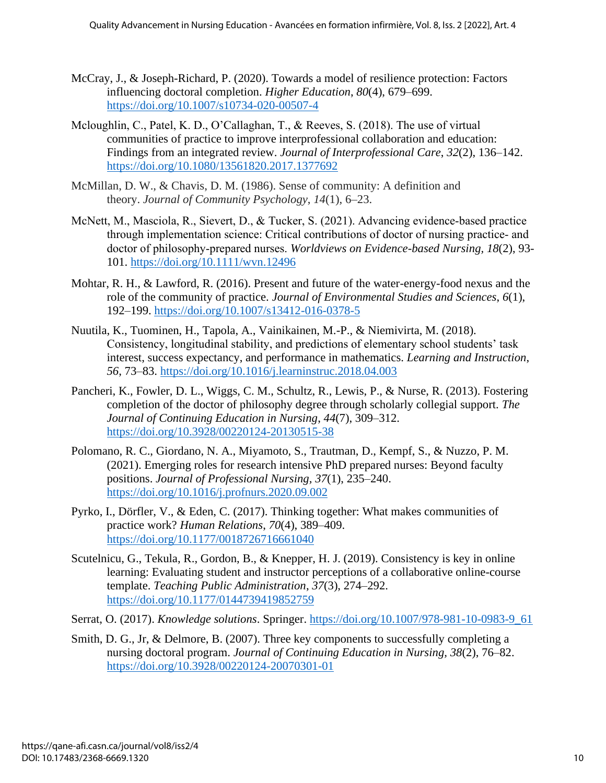- McCray, J., & Joseph-Richard, P. (2020). Towards a model of resilience protection: Factors influencing doctoral completion. *Higher Education*, *80*(4), 679–699. https://doi.org/10.1007/s10734-020-00507-4
- Mcloughlin, C., Patel, K. D., O'Callaghan, T., & Reeves, S. (2018). The use of virtual communities of practice to improve interprofessional collaboration and education: Findings from an integrated review. *Journal of Interprofessional Care*, *32*(2), 136–142. https://doi.org/10.1080/13561820.2017.1377692
- McMillan, D. W., & Chavis, D. M. (1986). Sense of community: A definition and theory. *Journal of Community Psychology*, *14*(1), 6–23.
- McNett, M., Masciola, R., Sievert, D., & Tucker, S. (2021). Advancing evidence-based practice through implementation science: Critical contributions of doctor of nursing practice‐ and doctor of philosophy‐prepared nurses. *Worldviews on Evidence-based Nursing, 18*(2), 93- 101.<https://doi.org/10.1111/wvn.12496>
- Mohtar, R. H., & Lawford, R. (2016). Present and future of the water-energy-food nexus and the role of the community of practice. *Journal of Environmental Studies and Sciences*, *6*(1), 192–199. https://doi.org/10.1007/s13412-016-0378-5
- Nuutila, K., Tuominen, H., Tapola, A., Vainikainen, M.-P., & Niemivirta, M. (2018). Consistency, longitudinal stability, and predictions of elementary school students' task interest, success expectancy, and performance in mathematics. *Learning and Instruction*, *56*, 73–83. https://doi.org/10.1016/j.learninstruc.2018.04.003
- Pancheri, K., Fowler, D. L., Wiggs, C. M., Schultz, R., Lewis, P., & Nurse, R. (2013). Fostering completion of the doctor of philosophy degree through scholarly collegial support. *The Journal of Continuing Education in Nursing*, *44*(7), 309–312. https://doi.org/10.3928/00220124-20130515-38
- Polomano, R. C., Giordano, N. A., Miyamoto, S., Trautman, D., Kempf, S., & Nuzzo, P. M. (2021). Emerging roles for research intensive PhD prepared nurses: Beyond faculty positions. *Journal of Professional Nursing, 37*(1), 235–240. <https://doi.org/10.1016/j.profnurs.2020.09.002>
- Pyrko, I., Dörfler, V., & Eden, C. (2017). Thinking together: What makes communities of practice work? *Human Relations*, *70*(4), 389–409. https://doi.org/10.1177/0018726716661040
- Scutelnicu, G., Tekula, R., Gordon, B., & Knepper, H. J. (2019). Consistency is key in online learning: Evaluating student and instructor perceptions of a collaborative online-course template. *Teaching Public Administration*, *37*(3), 274–292. https://doi.org/10.1177/0144739419852759
- Serrat, O. (2017). *Knowledge solutions*. Springer. https://doi.org/10.1007/978-981-10-0983-9\_61
- Smith, D. G., Jr, & Delmore, B. (2007). Three key components to successfully completing a nursing doctoral program. *Journal of Continuing Education in Nursing, 38*(2), 76–82. <https://doi.org/10.3928/00220124-20070301-01>